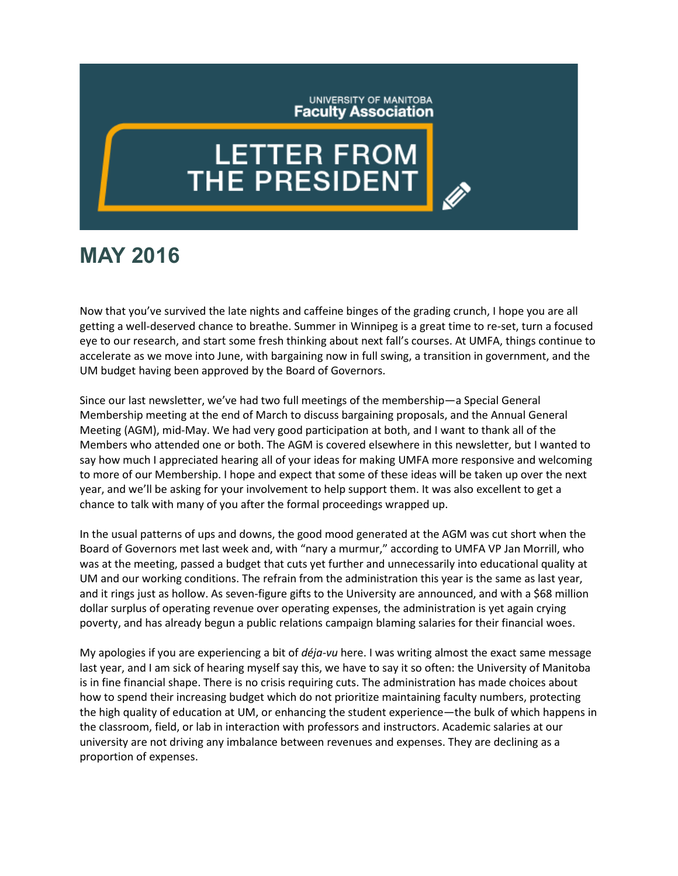## UNIVERSITY OF MANITOBA **Faculty Association**

## **LETTER FROM**<br>THE PRESIDENT

## **MAY 2016**

Now that you've survived the late nights and caffeine binges of the grading crunch, I hope you are all getting a well-deserved chance to breathe. Summer in Winnipeg is a great time to re-set, turn a focused eye to our research, and start some fresh thinking about next fall's courses. At UMFA, things continue to accelerate as we move into June, with bargaining now in full swing, a transition in government, and the UM budget having been approved by the Board of Governors.

Since our last newsletter, we've had two full meetings of the membership—a Special General Membership meeting at the end of March to discuss bargaining proposals, and the Annual General Meeting (AGM), mid-May. We had very good participation at both, and I want to thank all of the Members who attended one or both. The AGM is covered elsewhere in this newsletter, but I wanted to say how much I appreciated hearing all of your ideas for making UMFA more responsive and welcoming to more of our Membership. I hope and expect that some of these ideas will be taken up over the next year, and we'll be asking for your involvement to help support them. It was also excellent to get a chance to talk with many of you after the formal proceedings wrapped up.

In the usual patterns of ups and downs, the good mood generated at the AGM was cut short when the Board of Governors met last week and, with "nary a murmur," according to UMFA VP Jan Morrill, who was at the meeting, passed a budget that cuts yet further and unnecessarily into educational quality at UM and our working conditions. The refrain from the administration this year is the same as last year, and it rings just as hollow. As seven-figure gifts to the University are announced, and with a \$68 million dollar surplus of operating revenue over operating expenses, the administration is yet again crying poverty, and has already begun a public relations campaign blaming salaries for their financial woes.

My apologies if you are experiencing a bit of *déja-vu* here. I was writing almost the exact same message last year, and I am sick of hearing myself say this, we have to say it so often: the University of Manitoba is in fine financial shape. There is no crisis requiring cuts. The administration has made choices about how to spend their increasing budget which do not prioritize maintaining faculty numbers, protecting the high quality of education at UM, or enhancing the student experience—the bulk of which happens in the classroom, field, or lab in interaction with professors and instructors. Academic salaries at our university are not driving any imbalance between revenues and expenses. They are declining as a proportion of expenses.